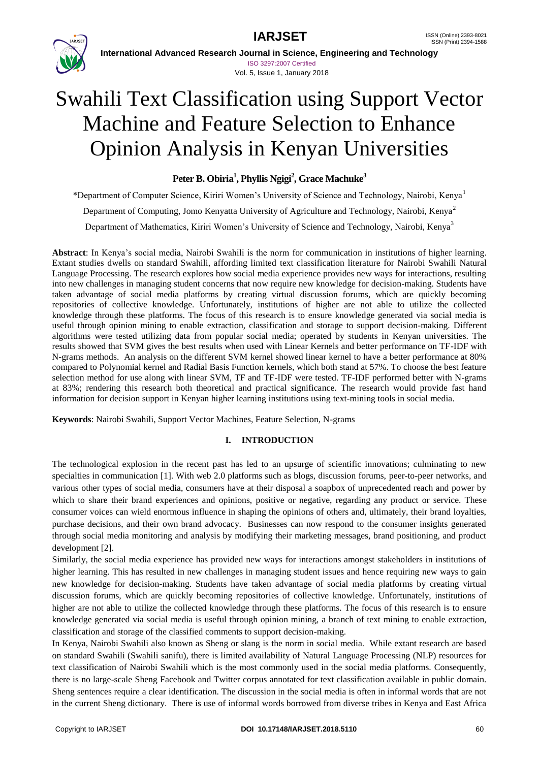



**International Advanced Research Journal in Science, Engineering and Technology** ISO 3297:2007 Certified Vol. 5, Issue 1, January 2018

# Swahili Text Classification using Support Vector Machine and Feature Selection to Enhance Opinion Analysis in Kenyan Universities

# **Peter B. Obiria<sup>1</sup> , Phyllis Ngigi<sup>2</sup> , Grace Machuke<sup>3</sup>**

\*Department of Computer Science, Kiriri Women's University of Science and Technology, Nairobi, Kenya<sup>1</sup> Department of Computing, Jomo Kenyatta University of Agriculture and Technology, Nairobi, Kenya<sup>2</sup> Department of Mathematics, Kiriri Women's University of Science and Technology, Nairobi, Kenya<sup>3</sup>

**Abstract**: In Kenya's social media, Nairobi Swahili is the norm for communication in institutions of higher learning. Extant studies dwells on standard Swahili, affording limited text classification literature for Nairobi Swahili Natural Language Processing. The research explores how social media experience provides new ways for interactions, resulting into new challenges in managing student concerns that now require new knowledge for decision-making. Students have taken advantage of social media platforms by creating virtual discussion forums, which are quickly becoming repositories of collective knowledge. Unfortunately, institutions of higher are not able to utilize the collected knowledge through these platforms. The focus of this research is to ensure knowledge generated via social media is useful through opinion mining to enable extraction, classification and storage to support decision-making. Different algorithms were tested utilizing data from popular social media; operated by students in Kenyan universities. The results showed that SVM gives the best results when used with Linear Kernels and better performance on TF-IDF with N-grams methods. An analysis on the different SVM kernel showed linear kernel to have a better performance at 80% compared to Polynomial kernel and Radial Basis Function kernels, which both stand at 57%. To choose the best feature selection method for use along with linear SVM, TF and TF-IDF were tested. TF-IDF performed better with N-grams at 83%; rendering this research both theoretical and practical significance. The research would provide fast hand information for decision support in Kenyan higher learning institutions using text-mining tools in social media.

**Keywords**: Nairobi Swahili, Support Vector Machines, Feature Selection, N-grams

# **I. INTRODUCTION**

The technological explosion in the recent past has led to an upsurge of scientific innovations; culminating to new specialties in communication [1]. With web 2.0 platforms such as blogs, discussion forums, peer-to-peer networks, and various other types of social media, consumers have at their disposal a soapbox of unprecedented reach and power by which to share their brand experiences and opinions, positive or negative, regarding any product or service. These consumer voices can wield enormous influence in shaping the opinions of others and, ultimately, their brand loyalties, purchase decisions, and their own brand advocacy. Businesses can now respond to the consumer insights generated through social media monitoring and analysis by modifying their marketing messages, brand positioning, and product development [2].

Similarly, the social media experience has provided new ways for interactions amongst stakeholders in institutions of higher learning. This has resulted in new challenges in managing student issues and hence requiring new ways to gain new knowledge for decision-making. Students have taken advantage of social media platforms by creating virtual discussion forums, which are quickly becoming repositories of collective knowledge. Unfortunately, institutions of higher are not able to utilize the collected knowledge through these platforms. The focus of this research is to ensure knowledge generated via social media is useful through opinion mining, a branch of text mining to enable extraction, classification and storage of the classified comments to support decision-making.

In Kenya, Nairobi Swahili also known as Sheng or slang is the norm in social media. While extant research are based on standard Swahili (Swahili sanifu), there is limited availability of Natural Language Processing (NLP) resources for text classification of Nairobi Swahili which is the most commonly used in the social media platforms. Consequently, there is no large-scale Sheng Facebook and Twitter corpus annotated for text classification available in public domain. Sheng sentences require a clear identification. The discussion in the social media is often in informal words that are not in the current Sheng dictionary. There is use of informal words borrowed from diverse tribes in Kenya and East Africa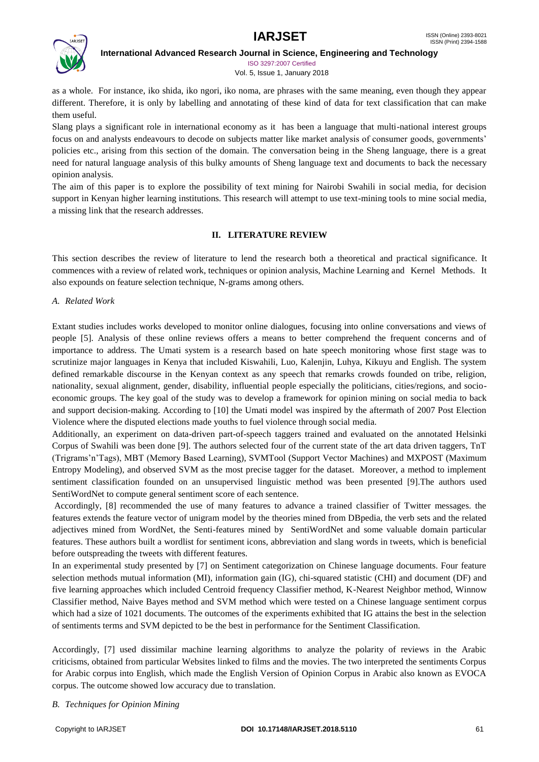

ISO 3297:2007 Certified Vol. 5, Issue 1, January 2018

as a whole. For instance, iko shida, iko ngori, iko noma, are phrases with the same meaning, even though they appear different. Therefore, it is only by labelling and annotating of these kind of data for text classification that can make them useful.

Slang plays a significant role in international economy as it has been a language that multi-national interest groups focus on and analysts endeavours to decode on subjects matter like market analysis of consumer goods, governments' policies etc., arising from this section of the domain. The conversation being in the Sheng language, there is a great need for natural language analysis of this bulky amounts of Sheng language text and documents to back the necessary opinion analysis.

The aim of this paper is to explore the possibility of text mining for Nairobi Swahili in social media, for decision support in Kenyan higher learning institutions. This research will attempt to use text-mining tools to mine social media, a missing link that the research addresses.

# **II. LITERATURE REVIEW**

This section describes the review of literature to lend the research both a theoretical and practical significance. It commences with a review of related work, techniques or opinion analysis, Machine Learning and Kernel Methods. It also expounds on feature selection technique, N-grams among others.

### *A. Related Work*

Extant studies includes works developed to monitor online dialogues, focusing into online conversations and views of people [5]. Analysis of these online reviews offers a means to better comprehend the frequent concerns and of importance to address. The Umati system is a research based on hate speech monitoring whose first stage was to scrutinize major languages in Kenya that included Kiswahili, Luo, Kalenjin, Luhya, Kikuyu and English. The system defined remarkable discourse in the Kenyan context as any speech that remarks crowds founded on tribe, religion, nationality, sexual alignment, gender, disability, influential people especially the politicians, cities/regions, and socioeconomic groups. The key goal of the study was to develop a framework for opinion mining on social media to back and support decision-making. According to [10] the Umati model was inspired by the aftermath of 2007 Post Election Violence where the disputed elections made youths to fuel violence through social media.

Additionally, an experiment on data-driven part-of-speech taggers trained and evaluated on the annotated Helsinki Corpus of Swahili was been done [9]. The authors selected four of the current state of the art data driven taggers, TnT (Trigrams'n'Tags), MBT (Memory Based Learning), SVMTool (Support Vector Machines) and MXPOST (Maximum Entropy Modeling), and observed SVM as the most precise tagger for the dataset. Moreover, a method to implement sentiment classification founded on an unsupervised linguistic method was been presented [9].The authors used SentiWordNet to compute general sentiment score of each sentence.

Accordingly, [8] recommended the use of many features to advance a trained classifier of Twitter messages. the features extends the feature vector of unigram model by the theories mined from DBpedia, the verb sets and the related adjectives mined from WordNet, the Senti-features mined by SentiWordNet and some valuable domain particular features. These authors built a wordlist for sentiment icons, abbreviation and slang words in tweets, which is beneficial before outspreading the tweets with different features.

In an experimental study presented by [7] on Sentiment categorization on Chinese language documents. Four feature selection methods mutual information (MI), information gain (IG), chi-squared statistic (CHI) and document (DF) and five learning approaches which included Centroid frequency Classifier method, K-Nearest Neighbor method, Winnow Classifier method, Naive Bayes method and SVM method which were tested on a Chinese language sentiment corpus which had a size of 1021 documents. The outcomes of the experiments exhibited that IG attains the best in the selection of sentiments terms and SVM depicted to be the best in performance for the Sentiment Classification.

Accordingly, [7] used dissimilar machine learning algorithms to analyze the polarity of reviews in the Arabic criticisms, obtained from particular Websites linked to films and the movies. The two interpreted the sentiments Corpus for Arabic corpus into English, which made the English Version of Opinion Corpus in Arabic also known as EVOCA corpus. The outcome showed low accuracy due to translation.

### *B. Techniques for Opinion Mining*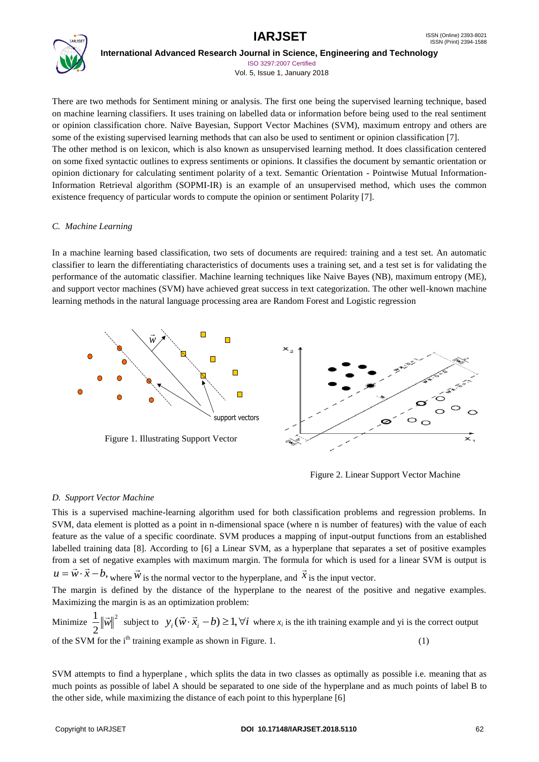

ISO 3297:2007 Certified Vol. 5, Issue 1, January 2018

There are two methods for Sentiment mining or analysis. The first one being the supervised learning technique, based on machine learning classifiers. It uses training on labelled data or information before being used to the real sentiment or opinion classification chore. Naïve Bayesian, Support Vector Machines (SVM), maximum entropy and others are some of the existing supervised learning methods that can also be used to sentiment or opinion classification [7]. The other method is on lexicon, which is also known as unsupervised learning method. It does classification centered on some fixed syntactic outlines to express sentiments or opinions. It classifies the document by semantic orientation or opinion dictionary for calculating sentiment polarity of a text. Semantic Orientation - Pointwise Mutual Information-Information Retrieval algorithm (SOPMI-IR) is an example of an unsupervised method, which uses the common existence frequency of particular words to compute the opinion or sentiment Polarity [7].

# *C. Machine Learning*

In a machine learning based classification, two sets of documents are required: training and a test set. An automatic classifier to learn the differentiating characteristics of documents uses a training set, and a test set is for validating the performance of the automatic classifier. Machine learning techniques like Naive Bayes (NB), maximum entropy (ME), and support vector machines (SVM) have achieved great success in text categorization. The other well-known machine learning methods in the natural language processing area are Random Forest and Logistic regression



Figure 2. Linear Support Vector Machine

# *D. Support Vector Machine*

This is a supervised machine-learning algorithm used for both classification problems and regression problems. In SVM, data element is plotted as a point in n-dimensional space (where n is number of features) with the value of each feature as the value of a specific coordinate. SVM produces a mapping of input-output functions from an established labelled training data [8]. According to [6] a Linear SVM, as a hyperplane that separates a set of positive examples from a set of negative examples with maximum margin. The formula for which is used for a linear SVM is output is  $u = \vec{w} \cdot \vec{x} - b$ , where  $\vec{w}$ is the normal vector to the hyperplane, and  $\vec{x}$ 

is the input vector.

The margin is defined by the distance of the hyperplane to the nearest of the positive and negative examples. Maximizing the margin is as an optimization problem:

Minimize  $\frac{1}{2} \|\vec{w}\|^2$  subject to  $y_i(\vec{w} \cdot \vec{x}_i - b) \ge 1$ ,  $\forall i$  where  $x_i$  is the ith training example and yi is the correct output of the SVM for the  $i<sup>th</sup>$  training example as shown in Figure. 1. (1) 2  $\frac{1}{2} \|\vec{w}\|^2$  subject to  $y_i(\vec{w} \cdot \vec{x}_i - b) \ge 1, \forall i$ 

SVM attempts to find a hyperplane , which splits the data in two classes as optimally as possible i.e. meaning that as much points as possible of label A should be separated to one side of the hyperplane and as much points of label B to the other side, while maximizing the distance of each point to this hyperplane [6]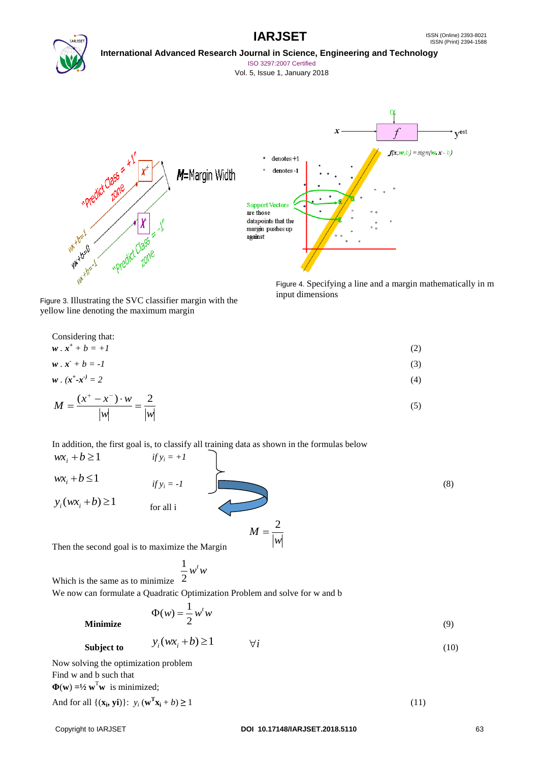



ISO 3297:2007 Certified

Vol. 5, Issue 1, January 2018



Figure 3. Illustrating the SVC classifier margin with the yellow line denoting the maximum margin

Figure 4. Specifying a line and a margin mathematically in m input dimensions

Considering that:  
\n
$$
\mathbf{w} \cdot \mathbf{x}^+ + b = +I
$$
\n
$$
\mathbf{w} \cdot \mathbf{x}^- + b = -I
$$
\n(2)  
\n
$$
\mathbf{w} \cdot (\mathbf{x}^+ \cdot \mathbf{x}^-) = 2
$$
\n(3)  
\n
$$
M = \frac{(\mathbf{x}^+ - \mathbf{x}^-) \cdot \mathbf{w}}{|\mathbf{w}|} = \frac{2}{|\mathbf{w}|}
$$
\n(5)

In addition, the first goal is, to classify all training data as shown in the formulas below

 $wx_i + b \ge 1$  *if*  $y_i = +1$  $wx_i + b \leq 1$ *if*  $y_i = -1$  (8)  $y_i(wx_i + b) \ge 1$ for all i  $M = \frac{2}{1}$ 

Then the second goal is to maximize the Margin

Which is the same as to minimize 
$$
\frac{1}{2}w^tw
$$

We now can formulate a Quadratic Optimization Problem and solve for w and b

$$
\Phi(w) = \frac{1}{2} w^t w \tag{9}
$$

**Minimize** 

$$
\text{Subject to} \qquad y_i(wx_i + b) \ge 1 \qquad \forall i \tag{10}
$$

*w*

Now solving the optimization problem Find w and b such that  $\Phi(\mathbf{w}) = \frac{1}{2} \mathbf{w}^T \mathbf{w}$  is minimized;

And for all  $\{(\mathbf{x}_i, \mathbf{y}_i)\}\colon y_i(\mathbf{w}^T \mathbf{x}_i + b) \ge 1$  (11)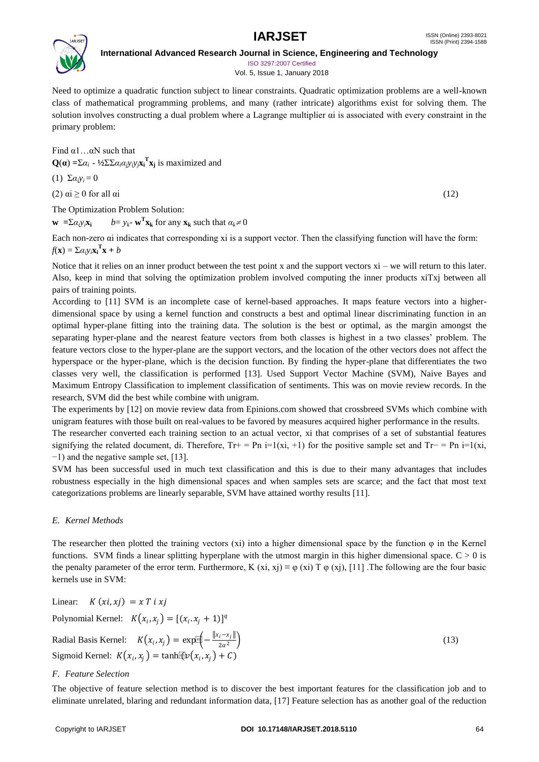

ISO 3297:2007 Certified Vol. 5, Issue 1, January 2018

Need to optimize a quadratic function subject to linear constraints. Quadratic optimization problems are a well-known class of mathematical programming problems, and many (rather intricate) algorithms exist for solving them. The solution involves constructing a dual problem where a Lagrange multiplier αi is associated with every constraint in the primary problem:

Find  $\alpha$ 1... $\alpha$ N such that  $Q(\alpha) = \sum \alpha_i - \frac{1}{2} \sum \sum \alpha_i \alpha_j y_i y_j x_i^T x_j$  is maximized and

(1)  $\Sigma \alpha_i v_i = 0$ 

(2)  $\alpha i \ge 0$  for all  $\alpha i$  (12)

The Optimization Problem Solution:

**w** =  $\sum \alpha_i y_i \mathbf{x_i}$  $\mathbf{r}_{\mathbf{X_k}}$  for any  $\mathbf{x_k}$  such that  $\alpha_k \neq 0$ 

Each non-zero αi indicates that corresponding xi is a support vector. Then the classifying function will have the form:  $f(\mathbf{x}) = \sum a_i y_i \mathbf{x_i}^{\mathrm{T}} \mathbf{x} + b$ 

Notice that it relies on an inner product between the test point x and the support vectors  $xi - we will return to this later.$ Also, keep in mind that solving the optimization problem involved computing the inner products xiTxj between all pairs of training points.

According to [11] SVM is an incomplete case of kernel-based approaches. It maps feature vectors into a higherdimensional space by using a kernel function and constructs a best and optimal linear discriminating function in an optimal hyper-plane fitting into the training data. The solution is the best or optimal, as the margin amongst the separating hyper-plane and the nearest feature vectors from both classes is highest in a two classes' problem. The feature vectors close to the hyper-plane are the support vectors, and the location of the other vectors does not affect the hyperspace or the hyper-plane, which is the decision function. By finding the hyper-plane that differentiates the two classes very well, the classification is performed [13]. Used Support Vector Machine (SVM), Naive Bayes and Maximum Entropy Classification to implement classification of sentiments. This was on movie review records. In the research, SVM did the best while combine with unigram.

The experiments by [12] on movie review data from Epinions.com showed that crossbreed SVMs which combine with unigram features with those built on real-values to be favored by measures acquired higher performance in the results.

The researcher converted each training section to an actual vector, xi that comprises of a set of substantial features signifying the related document, di. Therefore, Tr+ = Pn i=1(xi, +1) for the positive sample set and Tr− = Pn i=1(xi, −1) and the negative sample set, [13].

SVM has been successful used in much text classification and this is due to their many advantages that includes robustness especially in the high dimensional spaces and when samples sets are scarce; and the fact that most text categorizations problems are linearly separable, SVM have attained worthy results [11].

# *E. Kernel Methods*

The researcher then plotted the training vectors (xi) into a higher dimensional space by the function φ in the Kernel functions. SVM finds a linear splitting hyperplane with the utmost margin in this higher dimensional space.  $C > 0$  is the penalty parameter of the error term. Furthermore, K  $(xi, xj) \equiv \varphi(xi)$  T  $\varphi(xj)$ , [11]. The following are the four basic kernels use in SVM:

Linear: 
$$
K(x_i, x_j) = x T i x j
$$
  
\nPolynomial Kernel:  $K(x_i, x_j) = [(x_i, x_j + 1)]^q$   
\nRadial Basis Kernel:  $K(x_i, x_j) = \exp[\frac{x}{x_i} - \frac{||x_i - x_j||}{2\alpha^2}]$   
\nSigmoid Kernel:  $K(x_i, x_j) = \tanh[\frac{x}{x_i} (x_i, x_j) + C)$  (13)

### *F. Feature Selection*

The objective of feature selection method is to discover the best important features for the classification job and to eliminate unrelated, blaring and redundant information data, [17] Feature selection has as another goal of the reduction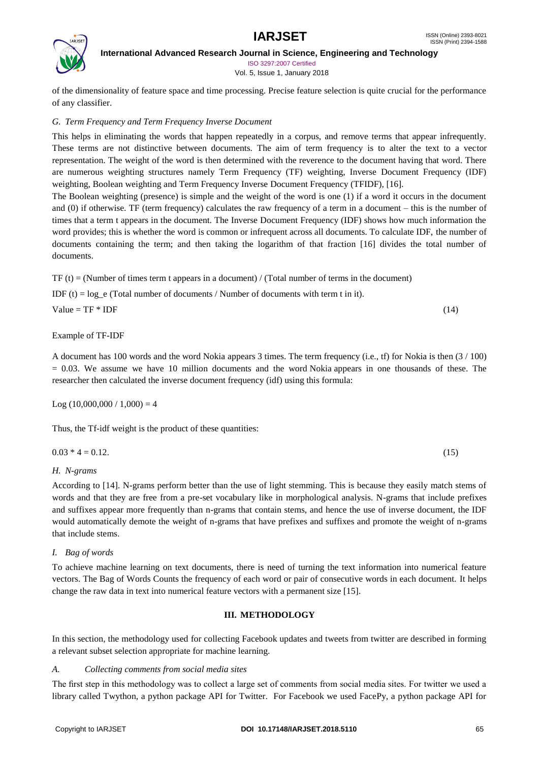

**International Advanced Research Journal in Science, Engineering and Technology** ISO 3297:2007 Certified

Vol. 5, Issue 1, January 2018

of the dimensionality of feature space and time processing. Precise feature selection is quite crucial for the performance of any classifier.

# *G. Term Frequency and Term Frequency Inverse Document*

This helps in eliminating the words that happen repeatedly in a corpus, and remove terms that appear infrequently. These terms are not distinctive between documents. The aim of term frequency is to alter the text to a vector representation. The weight of the word is then determined with the reverence to the document having that word. There are numerous weighting structures namely Term Frequency (TF) weighting, Inverse Document Frequency (IDF) weighting, Boolean weighting and Term Frequency Inverse Document Frequency (TFIDF), [16].

The Boolean weighting (presence) is simple and the weight of the word is one (1) if a word it occurs in the document and (0) if otherwise. TF (term frequency) calculates the raw frequency of a term in a document – this is the number of times that a term t appears in the document. The Inverse Document Frequency (IDF) shows how much information the word provides; this is whether the word is common or infrequent across all documents. To calculate IDF, the number of documents containing the term; and then taking the logarithm of that fraction [16] divides the total number of documents.

TF (t) = (Number of times term t appears in a document) / (Total number of terms in the document)

IDF (t) =  $log$  e (Total number of documents / Number of documents with term t in it).

Value =  $TF * IDF$  (14)

Example of TF-IDF

A document has 100 words and the word Nokia appears 3 times. The term frequency (i.e., tf) for Nokia is then (3 / 100)  $= 0.03$ . We assume we have 10 million documents and the word Nokia appears in one thousands of these. The researcher then calculated the inverse document frequency (idf) using this formula:

```
Log(10,000,000 / 1,000) = 4
```
Thus, the Tf-idf weight is the product of these quantities:

| $0.03 * 4 = 0.12$ . | (15) |
|---------------------|------|
|                     |      |

# *H. N-grams*

According to [14]. N-grams perform better than the use of light stemming. This is because they easily match stems of words and that they are free from a pre-set vocabulary like in morphological analysis. N-grams that include prefixes and suffixes appear more frequently than n-grams that contain stems, and hence the use of inverse document, the IDF would automatically demote the weight of n-grams that have prefixes and suffixes and promote the weight of n-grams that include stems.

# *I. Bag of words*

To achieve machine learning on text documents, there is need of turning the text information into numerical feature vectors. The Bag of Words Counts the frequency of each word or pair of consecutive words in each document. It helps change the raw data in text into numerical feature vectors with a permanent size [15].

# **III. METHODOLOGY**

In this section, the methodology used for collecting Facebook updates and tweets from twitter are described in forming a relevant subset selection appropriate for machine learning.

# *A. Collecting comments from social media sites*

The first step in this methodology was to collect a large set of comments from social media sites. For twitter we used a library called Twython, a python package API for Twitter. For Facebook we used FacePy, a python package API for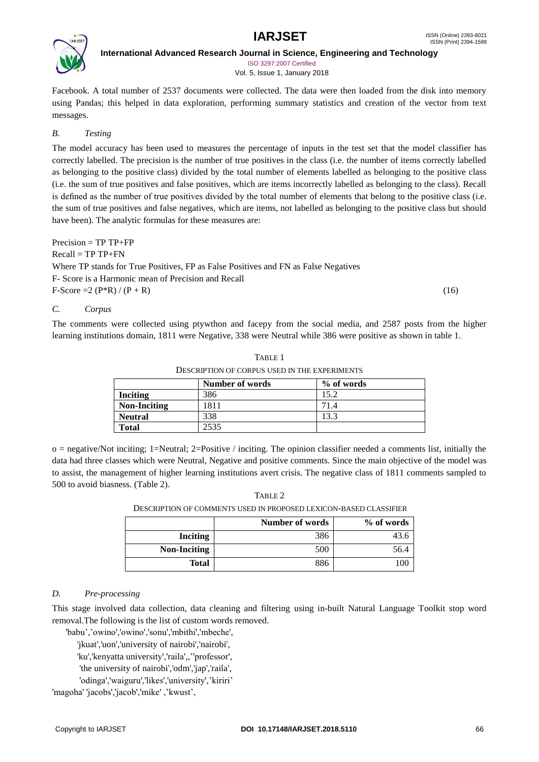

**International Advanced Research Journal in Science, Engineering and Technology** ISO 3297:2007 Certified

Vol. 5, Issue 1, January 2018

Facebook. A total number of 2537 documents were collected. The data were then loaded from the disk into memory using Pandas; this helped in data exploration, performing summary statistics and creation of the vector from text messages.

# *B. Testing*

The model accuracy has been used to measures the percentage of inputs in the test set that the model classifier has correctly labelled. The precision is the number of true positives in the class (i.e. the number of items correctly labelled as belonging to the positive class) divided by the total number of elements labelled as belonging to the positive class (i.e. the sum of true positives and false positives, which are items incorrectly labelled as belonging to the class). Recall is defined as the number of true positives divided by the total number of elements that belong to the positive class (i.e. the sum of true positives and false negatives, which are items, not labelled as belonging to the positive class but should have been). The analytic formulas for these measures are:

Precision = TP TP+FP  $Recall = TPTP+FN$ Where TP stands for True Positives, FP as False Positives and FN as False Negatives F- Score is a Harmonic mean of Precision and Recall F-Score = 2 (P\*R) / (P + R) (16)

# *C. Corpus*

The comments were collected using ptywthon and facepy from the social media, and 2587 posts from the higher learning institutions domain, 1811 were Negative, 338 were Neutral while 386 were positive as shown in table 1.

|                     | DESCRIPTION OF CORPUS USED IN THE EXPERIMENTS |            |
|---------------------|-----------------------------------------------|------------|
|                     | Number of words                               | % of words |
| <b>Inciting</b>     | 386                                           | 15.2       |
| <b>Non-Inciting</b> | 1811                                          | 71.4       |
| <b>Neutral</b>      | 338                                           | 13.3       |
| <b>Total</b>        | 2535                                          |            |

TABLE 1

o = negative/Not inciting; 1=Neutral; 2=Positive / inciting. The opinion classifier needed a comments list, initially the data had three classes which were Neutral, Negative and positive comments. Since the main objective of the model was to assist, the management of higher learning institutions avert crisis. The negative class of 1811 comments sampled to 500 to avoid biasness. (Table 2).

TABLE 2

 $\overline{\text{O}}$  of computer  $\overline{\text{O}}$  is description of  $\overline{\text{O}}$  in  $\overline{\text{O}}$  is defined as  $\overline{\text{O}}$ 

| DESCRIPTION OF COMMENTS OSED IN PROPOSED LEAICON-BASED CLASSIFIER |                 |            |
|-------------------------------------------------------------------|-----------------|------------|
|                                                                   | Number of words | % of words |
| Inciting                                                          | 386             |            |
| <b>Non-Inciting</b>                                               | 500             | 56.4       |
| Total                                                             | 886             | 10C        |

# *D. Pre-processing*

This stage involved data collection, data cleaning and filtering using in-built Natural Language Toolkit stop word removal.The following is the list of custom words removed.

'babu','owino','owino','sonu','mbithi','mbeche',

'jkuat','uon','university of nairobi','nairobi',

'ku','kenyatta university','raila',,''professor',

'the university of nairobi','odm','jap','raila',

'odinga','waiguru','likes','university','kiriri'

'magoha' 'jacobs','jacob','mike' ,'kwust',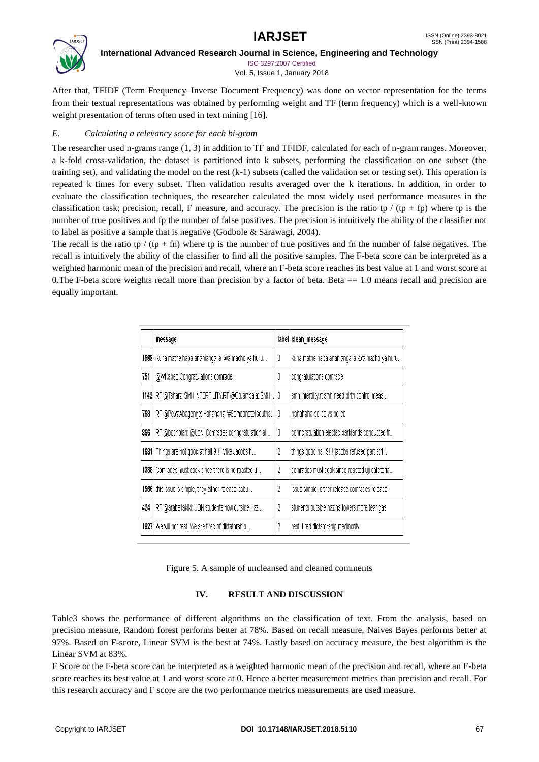

ISO 3297:2007 Certified Vol. 5, Issue 1, January 2018

After that, TFIDF (Term Frequency–Inverse Document Frequency) was done on vector representation for the terms from their textual representations was obtained by performing weight and TF (term frequency) which is a well-known weight presentation of terms often used in text mining [16].

# *E. Calculating a relevancy score for each bi-gram*

The researcher used n-grams range (1, 3) in addition to TF and TFIDF, calculated for each of n-gram ranges. Moreover, a k-fold cross-validation, the dataset is partitioned into k subsets, performing the classification on one subset (the training set), and validating the model on the rest (k-1) subsets (called the validation set or testing set). This operation is repeated k times for every subset. Then validation results averaged over the k iterations. In addition, in order to evaluate the classification techniques, the researcher calculated the most widely used performance measures in the classification task; precision, recall, F measure, and accuracy. The precision is the ratio tp / (tp + fp) where tp is the number of true positives and fp the number of false positives. The precision is intuitively the ability of the classifier not to label as positive a sample that is negative (Godbole & Sarawagi, 2004).

The recall is the ratio tp / (tp + fn) where tp is the number of true positives and fn the number of false negatives. The recall is intuitively the ability of the classifier to find all the positive samples. The F-beta score can be interpreted as a weighted harmonic mean of the precision and recall, where an F-beta score reaches its best value at 1 and worst score at 0. The F-beta score weights recall more than precision by a factor of beta. Beta  $= 1.0$  means recall and precision are equally important.

|      | message                                               |   | label clean_message                            |
|------|-------------------------------------------------------|---|------------------------------------------------|
| 1568 | Kuna mathe hapa ananiangalia kwa macho ya huru        | 0 | kuna mathe hapa ananiangalia kwa macho ya huru |
| 751  | @WKabeo Congratulations comrade                       | O | congratulations comrade                        |
|      | 1142 RT @Tsharz: SMH INFERTILITY.RT @Otuambala: SMH   | 0 | smh infertility.rt smh need birth control meas |
| 768  | RT @PewaAbagenge: Hahahaha "#Someonetellsoutha        | 0 | hahahaha police vs police                      |
| 866  | RT @bocholah: @UoN_Comrades conngratulation al        | Ū | conngratulation elected parklands conducted fr |
| 1681 | Things are not good at hall 9!!! Mike Jacobs h        | 2 | things good hall 9!!! jacobs refused part stri |
| 1388 | Comrades must cook since there is no roasted u        | 2 | comrades must cook since roasted uji cafeteria |
|      | 1566 this issue is simple, they either release babu   | 2 | issue simple, either release comrades release. |
| 424  | RT @arabellakiki: UON students now outside Haz        | 2 | students outside hazina towers more tear gas   |
|      | 1827   We will not rest. We are tired of dictatorship | 2 | rest, tired dictatorship mediocrity            |

Figure 5. A sample of uncleansed and cleaned comments

# **IV. RESULT AND DISCUSSION**

Table3 shows the performance of different algorithms on the classification of text. From the analysis, based on precision measure, Random forest performs better at 78%. Based on recall measure, Naives Bayes performs better at 97%. Based on F-score, Linear SVM is the best at 74%. Lastly based on accuracy measure, the best algorithm is the Linear SVM at 83%.

F Score or the F-beta score can be interpreted as a weighted harmonic mean of the precision and recall, where an F-beta score reaches its best value at 1 and worst score at 0. Hence a better measurement metrics than precision and recall. For this research accuracy and F score are the two performance metrics measurements are used measure.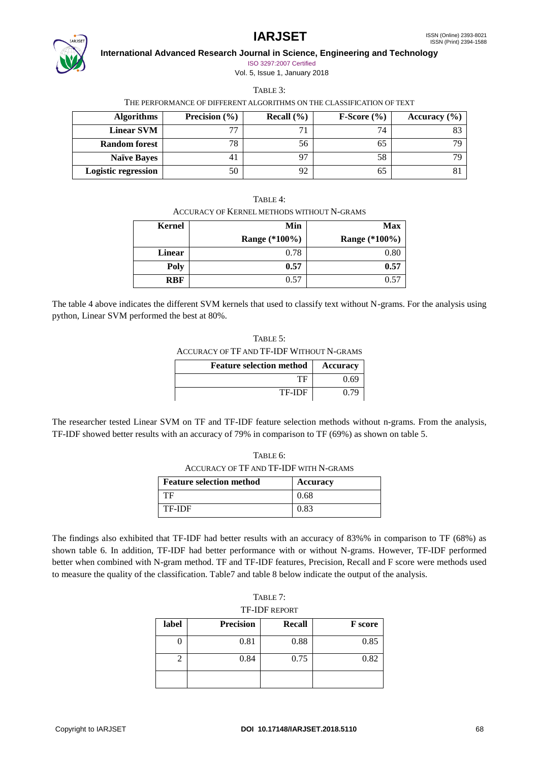

ISO 3297:2007 Certified Vol. 5, Issue 1, January 2018

TABLE 3:

THE PERFORMANCE OF DIFFERENT ALGORITHMS ON THE CLASSIFICATION OF TEXT

| <b>Algorithms</b>          | Precision $(\% )$ | Recall $(\% )$ | $F-Score(%)$ | Accuracy $(\% )$ |
|----------------------------|-------------------|----------------|--------------|------------------|
| <b>Linear SVM</b>          | 77                |                | 74           |                  |
| <b>Random forest</b>       | 78                | 56             | 65           |                  |
| <b>Naïve Bayes</b>         | 4 <sub>1</sub>    | 97             | 58           |                  |
| <b>Logistic regression</b> | 50                | 92             | ხა           |                  |

ACCURACY OF KERNEL METHODS WITHOUT N-GRAMS

| Kernel     | Min           | <b>Max</b>    |
|------------|---------------|---------------|
|            | Range (*100%) | Range (*100%) |
| Linear     | 0.78          | 0.80          |
| Poly       | 0.57          | 0.57          |
| <b>RBF</b> | 0.57          | 0.57          |

The table 4 above indicates the different SVM kernels that used to classify text without N-grams. For the analysis using python, Linear SVM performed the best at 80%.

| TABLE $5$ :                               |  |
|-------------------------------------------|--|
| ACCURACY OF TF AND TF-IDF WITHOUT N-GRAMS |  |
|                                           |  |

| <b>Feature selection method</b> | <b>Accuracy</b> |
|---------------------------------|-----------------|
|                                 | 9.69            |
| TF-IDF                          |                 |

The researcher tested Linear SVM on TF and TF-IDF feature selection methods without n-grams. From the analysis, TF-IDF showed better results with an accuracy of 79% in comparison to TF (69%) as shown on table 5.

| ACCURACY OF TF AND TF-IDF WITH N-GRAMS |
|----------------------------------------|

| <b>Feature selection method</b> | <b>Accuracy</b> |
|---------------------------------|-----------------|
| TЕ                              | 0.68            |
| TF-IDF                          | 0.83            |

The findings also exhibited that TF-IDF had better results with an accuracy of 83%% in comparison to TF (68%) as shown table 6. In addition, TF-IDF had better performance with or without N-grams. However, TF-IDF performed better when combined with N-gram method. TF and TF-IDF features, Precision, Recall and F score were methods used to measure the quality of the classification. Table7 and table 8 below indicate the output of the analysis.

| TABLE 7:      |
|---------------|
| TF-IDF report |

| II IDI NJUUNI |                  |        |                |  |
|---------------|------------------|--------|----------------|--|
| label         | <b>Precision</b> | Recall | <b>F</b> score |  |
|               | 0.81             | 0.88   | 0.85           |  |
|               | 0.84             | 0.75   | 0.82           |  |
|               |                  |        |                |  |